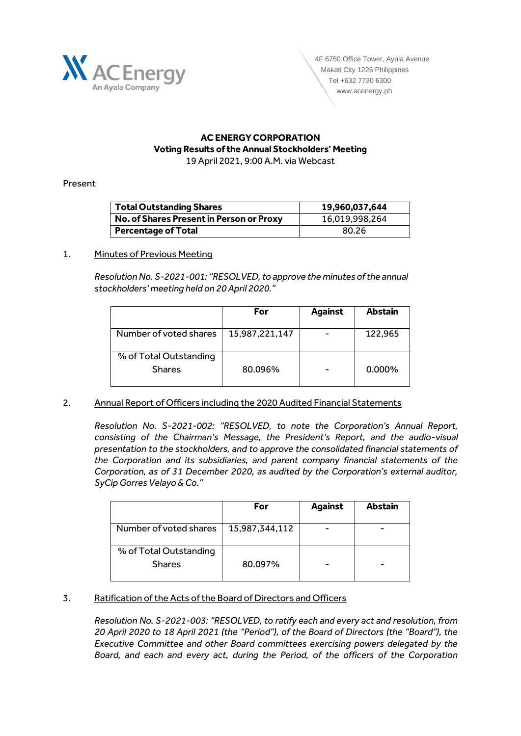

### **AC ENERGY CORPORATION Voting Results of the Annual Stockholders' Meeting** 19 April 2021, 9:00 A.M. via Webcast

## Present

| <b>Total Outstanding Shares</b>          | 19,960,037,644 |
|------------------------------------------|----------------|
| No. of Shares Present in Person or Proxy | 16,019,998,264 |
| <b>Percentage of Total</b>               | 80.26          |

## 1. Minutes of Previous Meeting

*Resolution No. S-2021-001: "RESOLVED, to approve the minutes of the annual stockholders' meeting held on 20 April 2020."*

|                                         | For            | <b>Against</b> | <b>Abstain</b> |
|-----------------------------------------|----------------|----------------|----------------|
| Number of voted shares                  | 15,987,221,147 |                | 122,965        |
| % of Total Outstanding<br><b>Shares</b> | 80.096%        |                | $0.000\%$      |

# 2. Annual Report of Officers including the 2020 Audited Financial Statements

*Resolution No. S-2021-002: "RESOLVED, to note the Corporation's Annual Report, consisting of the Chairman's Message, the President's Report, and the audio-visual presentation to the stockholders, and to approve the consolidated financial statements of the Corporation and its subsidiaries, and parent company financial statements of the Corporation, as of 31 December 2020, as audited by the Corporation's external auditor, SyCip Gorres Velayo & Co."*

|                                         | For            | <b>Against</b> | <b>Abstain</b> |
|-----------------------------------------|----------------|----------------|----------------|
| Number of voted shares                  | 15,987,344,112 |                |                |
| % of Total Outstanding<br><b>Shares</b> | 80.097%        |                |                |

# 3. Ratification of the Acts of the Board of Directors and Officers

*Resolution No. S-2021-003: "RESOLVED, to ratify each and every act and resolution, from 20 April 2020 to 18 April 2021 (the "Period"), of the Board of Directors (the "Board"), the Executive Committee and other Board committees exercising powers delegated by the Board, and each and every act, during the Period, of the officers of the Corporation*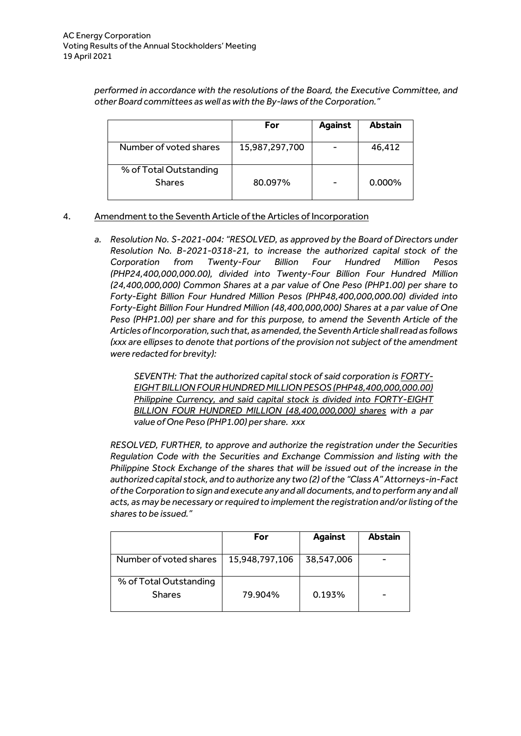*performed in accordance with the resolutions of the Board, the Executive Committee, and other Board committees as well as with the By-laws of the Corporation."*

|                                         | For            | <b>Against</b> | <b>Abstain</b> |
|-----------------------------------------|----------------|----------------|----------------|
| Number of voted shares                  | 15,987,297,700 |                | 46,412         |
| % of Total Outstanding<br><b>Shares</b> | 80.097%        |                | $0.000\%$      |

## 4. Amendment to the Seventh Article of the Articles of Incorporation

*a. Resolution No. S-2021-004: "RESOLVED, as approved by the Board of Directors under Resolution No. B-2021-0318-21, to increase the authorized capital stock of the Corporation from Twenty-Four Billion Four Hundred Million Pesos (PHP24,400,000,000.00), divided into Twenty-Four Billion Four Hundred Million (24,400,000,000) Common Shares at a par value of One Peso (PHP1.00) per share to Forty-Eight Billion Four Hundred Million Pesos (PHP48,400,000,000.00) divided into Forty-Eight Billion Four Hundred Million (48,400,000,000) Shares at a par value of One Peso (PHP1.00) per share and for this purpose, to amend the Seventh Article of the Articles of Incorporation, such that, as amended, the Seventh Article shall read as follows (xxx are ellipses to denote that portions of the provision not subject of the amendment were redacted for brevity):*

> *SEVENTH: That the authorized capital stock of said corporation is FORTY-EIGHT BILLION FOUR HUNDRED MILLION PESOS (PHP48,400,000,000.00) Philippine Currency, and said capital stock is divided into FORTY-EIGHT BILLION FOUR HUNDRED MILLION (48,400,000,000) shares with a par value of One Peso (PHP1.00) per share. xxx*

*RESOLVED, FURTHER, to approve and authorize the registration under the Securities Regulation Code with the Securities and Exchange Commission and listing with the Philippine Stock Exchange of the shares that will be issued out of the increase in the authorized capital stock, and to authorize any two (2) of the "Class A" Attorneys-in-Fact of the Corporation to sign and execute any and all documents, and to perform any and all acts, as may be necessary or required to implement the registration and/or listing of the shares to be issued."*

|                                         | For            | <b>Against</b> | <b>Abstain</b> |
|-----------------------------------------|----------------|----------------|----------------|
| Number of voted shares                  | 15,948,797,106 | 38,547,006     |                |
| % of Total Outstanding<br><b>Shares</b> | 79.904%        | 0.193%         | -              |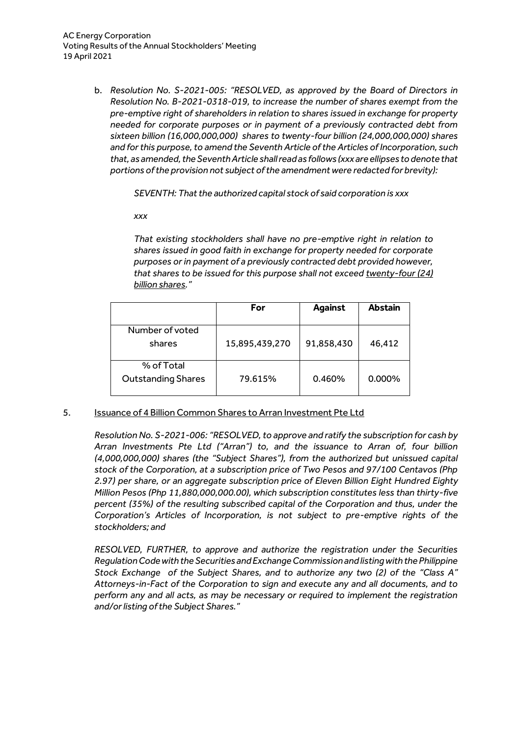b. *Resolution No. S-2021-005: "RESOLVED, as approved by the Board of Directors in Resolution No. B-2021-0318-019, to increase the number of shares exempt from the pre-emptive right of shareholders in relation to shares issued in exchange for property needed for corporate purposes or in payment of a previously contracted debt from sixteen billion (16,000,000,000) shares to twenty-four billion (24,000,000,000) shares and for this purpose, to amend the Seventh Article of the Articles of Incorporation, such that, as amended, the Seventh Article shall read as follows (xxx are ellipses to denote that portions of the provision not subject of the amendment were redacted for brevity):*

*SEVENTH: That the authorized capital stock of said corporation is xxx*

*xxx*

*That existing stockholders shall have no pre-emptive right in relation to shares issued in good faith in exchange for property needed for corporate purposes or in payment of a previously contracted debt provided however, that shares to be issued for this purpose shall not exceed twenty-four (24) billion shares."*

|                                         | For            | <b>Against</b> | <b>Abstain</b> |
|-----------------------------------------|----------------|----------------|----------------|
| Number of voted<br>shares               | 15,895,439,270 | 91,858,430     | 46,412         |
| % of Total<br><b>Outstanding Shares</b> | 79.615%        | 0.460%         | 0.000%         |

5. Issuance of 4 Billion Common Shares to Arran Investment Pte Ltd

*Resolution No. S-2021-006: "RESOLVED, to approve and ratify the subscription for cash by Arran Investments Pte Ltd ("Arran") to, and the issuance to Arran of, four billion (4,000,000,000) shares (the "Subject Shares"), from the authorized but unissued capital stock of the Corporation, at a subscription price of Two Pesos and 97/100 Centavos (Php 2.97) per share, or an aggregate subscription price of Eleven Billion Eight Hundred Eighty Million Pesos (Php 11,880,000,000.00), which subscription constitutes less than thirty-five percent (35%) of the resulting subscribed capital of the Corporation and thus, under the Corporation's Articles of Incorporation, is not subject to pre-emptive rights of the stockholders; and*

*RESOLVED, FURTHER, to approve and authorize the registration under the Securities Regulation Code with the Securities and Exchange Commission and listing with the Philippine Stock Exchange of the Subject Shares, and to authorize any two (2) of the "Class A" Attorneys-in-Fact of the Corporation to sign and execute any and all documents, and to perform any and all acts, as may be necessary or required to implement the registration and/or listing of the Subject Shares."*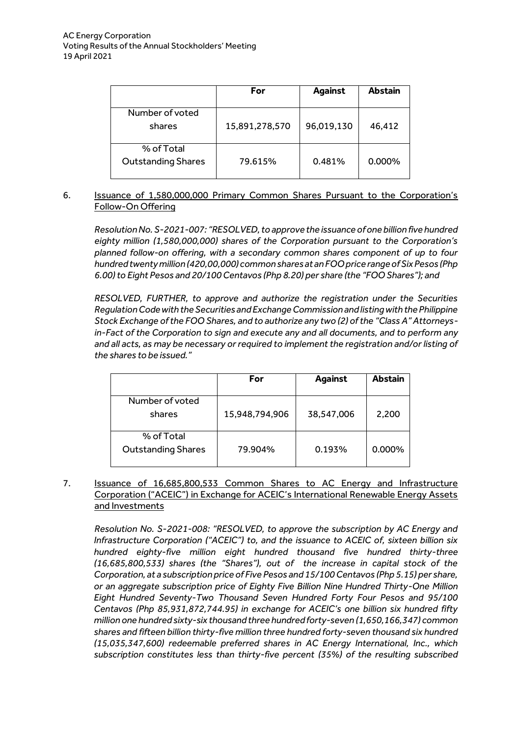|                                         | For            | <b>Against</b> | <b>Abstain</b> |
|-----------------------------------------|----------------|----------------|----------------|
| Number of voted<br>shares               | 15,891,278,570 | 96,019,130     | 46,412         |
| % of Total<br><b>Outstanding Shares</b> | 79.615%        | 0.481%         | $0.000\%$      |

# 6. Issuance of 1,580,000,000 Primary Common Shares Pursuant to the Corporation's Follow-On Offering

*Resolution No. S-2021-007: "RESOLVED, to approve the issuance of one billion five hundred eighty million (1,580,000,000) shares of the Corporation pursuant to the Corporation's planned follow-on offering, with a secondary common shares component of up to four hundred twenty million (420,00,000) common shares at an FOO price range of Six Pesos (Php 6.00) to Eight Pesos and 20/100 Centavos (Php 8.20) per share (the "FOO Shares"); and*

*RESOLVED, FURTHER, to approve and authorize the registration under the Securities Regulation Code with the Securities and Exchange Commission and listing with the Philippine Stock Exchange of the FOO Shares, and to authorize any two (2) of the "Class A" Attorneysin-Fact of the Corporation to sign and execute any and all documents, and to perform any and all acts, as may be necessary or required to implement the registration and/or listing of the shares to be issued."*

|                                         | For            | <b>Against</b> | <b>Abstain</b> |
|-----------------------------------------|----------------|----------------|----------------|
| Number of voted<br>shares               | 15,948,794,906 | 38,547,006     | 2,200          |
| % of Total<br><b>Outstanding Shares</b> | 79.904%        | 0.193%         | 0.000%         |

7. Issuance of 16,685,800,533 Common Shares to AC Energy and Infrastructure Corporation ("ACEIC") in Exchange for ACEIC's International Renewable Energy Assets and Investments

*Resolution No. S-2021-008: "RESOLVED, to approve the subscription by AC Energy and Infrastructure Corporation ("ACEIC") to, and the issuance to ACEIC of, sixteen billion six hundred eighty-five million eight hundred thousand five hundred thirty-three (16,685,800,533) shares (the "Shares"), out of the increase in capital stock of the Corporation, at a subscription price of Five Pesos and 15/100 Centavos (Php 5.15) per share, or an aggregate subscription price of Eighty Five Billion Nine Hundred Thirty-One Million Eight Hundred Seventy-Two Thousand Seven Hundred Forty Four Pesos and 95/100 Centavos (Php 85,931,872,744.95) in exchange for ACEIC's one billion six hundred fifty million one hundred sixty-six thousand three hundred forty-seven (1,650,166,347) common shares and fifteen billion thirty-five million three hundred forty-seven thousand six hundred (15,035,347,600) redeemable preferred shares in AC Energy International, Inc., which subscription constitutes less than thirty-five percent (35%) of the resulting subscribed*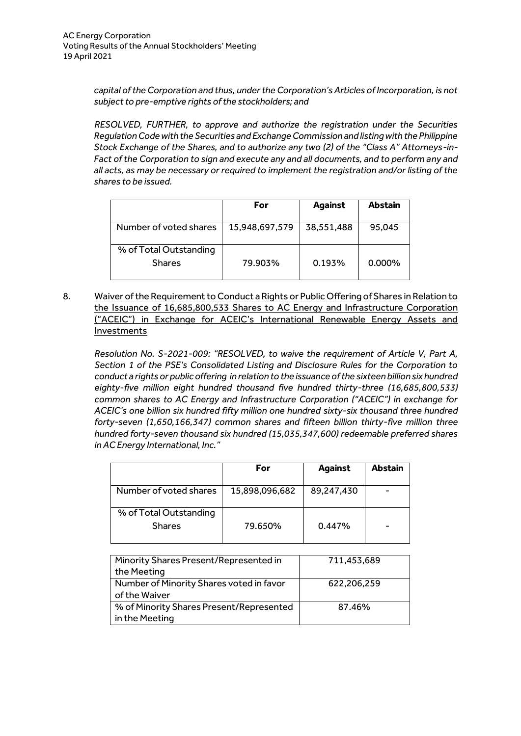*capital of the Corporation and thus, under the Corporation's Articles of Incorporation, is not subject to pre-emptive rights of the stockholders; and*

*RESOLVED, FURTHER, to approve and authorize the registration under the Securities Regulation Code with the Securities and Exchange Commission and listing with the Philippine Stock Exchange of the Shares, and to authorize any two (2) of the "Class A" Attorneys-in-Fact of the Corporation to sign and execute any and all documents, and to perform any and all acts, as may be necessary or required to implement the registration and/or listing of the shares to be issued.*

|                                         | For            | <b>Against</b> | <b>Abstain</b> |
|-----------------------------------------|----------------|----------------|----------------|
| Number of voted shares                  | 15,948,697,579 | 38,551,488     | 95,045         |
| % of Total Outstanding<br><b>Shares</b> | 79.903%        | 0.193%         | $0.000\%$      |

8. Waiver of the Requirement to Conduct a Rights or Public Offering of Shares in Relation to the Issuance of 16,685,800,533 Shares to AC Energy and Infrastructure Corporation ("ACEIC") in Exchange for ACEIC's International Renewable Energy Assets and **Investments** 

*Resolution No. S-2021-009: "RESOLVED, to waive the requirement of Article V, Part A, Section 1 of the PSE's Consolidated Listing and Disclosure Rules for the Corporation to conduct a rights or public offering in relation to the issuance of the sixteen billion six hundred eighty-five million eight hundred thousand five hundred thirty-three (16,685,800,533) common shares to AC Energy and Infrastructure Corporation ("ACEIC") in exchange for ACEIC's one billion six hundred fifty million one hundred sixty-six thousand three hundred forty-seven (1,650,166,347) common shares and fifteen billion thirty-five million three hundred forty-seven thousand six hundred (15,035,347,600) redeemable preferred shares in AC Energy International, Inc."*

|                                         | For            | <b>Against</b> | <b>Abstain</b> |
|-----------------------------------------|----------------|----------------|----------------|
| Number of voted shares                  | 15,898,096,682 | 89,247,430     |                |
| % of Total Outstanding<br><b>Shares</b> | 79.650%        | 0.447%         |                |

| Minority Shares Present/Represented in   | 711,453,689 |
|------------------------------------------|-------------|
| the Meeting                              |             |
| Number of Minority Shares voted in favor | 622,206,259 |
| of the Waiver                            |             |
| % of Minority Shares Present/Represented | 87.46%      |
| in the Meeting                           |             |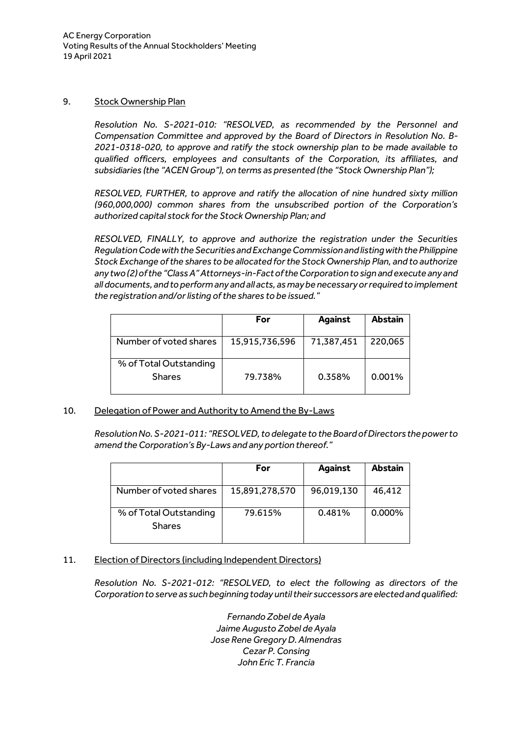### 9. Stock Ownership Plan

*Resolution No. S-2021-010: "RESOLVED, as recommended by the Personnel and Compensation Committee and approved by the Board of Directors in Resolution No. B-2021-0318-020, to approve and ratify the stock ownership plan to be made available to qualified officers, employees and consultants of the Corporation, its affiliates, and subsidiaries (the "ACEN Group"), on terms as presented (the "Stock Ownership Plan");*

*RESOLVED, FURTHER, to approve and ratify the allocation of nine hundred sixty million (960,000,000) common shares from the unsubscribed portion of the Corporation's authorized capital stock for the Stock Ownership Plan; and*

*RESOLVED, FINALLY, to approve and authorize the registration under the Securities Regulation Code with the Securities and Exchange Commission and listing with the Philippine Stock Exchange of the shares to be allocated for the Stock Ownership Plan, and to authorize any two (2) of the "Class A" Attorneys-in-Fact of the Corporation to sign and execute any and all documents, and to perform any and all acts, as may be necessary or required to implement the registration and/or listing of the shares to be issued."*

|                                         | For            | <b>Against</b> | <b>Abstain</b> |
|-----------------------------------------|----------------|----------------|----------------|
| Number of voted shares                  | 15,915,736,596 | 71,387,451     | 220,065        |
| % of Total Outstanding<br><b>Shares</b> | 79.738%        | 0.358%         | 0.001%         |

### 10. Delegation of Power and Authority to Amend the By-Laws

*Resolution No. S-2021-011: "RESOLVED, to delegate to the Board of Directors the power to amend the Corporation's By-Laws and any portion thereof."*

|                                         | For            | <b>Against</b> | <b>Abstain</b> |
|-----------------------------------------|----------------|----------------|----------------|
| Number of voted shares                  | 15,891,278,570 | 96,019,130     | 46,412         |
| % of Total Outstanding<br><b>Shares</b> | 79.615%        | 0.481%         | $0.000\%$      |

# 11. Election of Directors (including Independent Directors)

*Resolution No. S-2021-012: "RESOLVED, to elect the following as directors of the Corporation to serve as such beginning today until their successors are elected and qualified:*

> *Fernando Zobel de Ayala Jaime Augusto Zobel de Ayala Jose Rene Gregory D. Almendras Cezar P. Consing John Eric T. Francia*